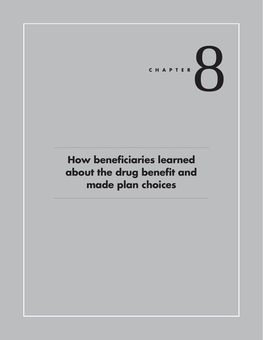# CHAPTER

## **How beneficiaries learned about the drug benefit and made plan choices**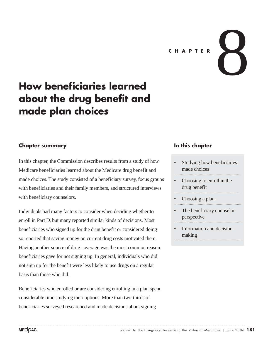

## **How beneficiaries learned about the drug benefit and made plan choices**

#### **Chapter summary**

In this chapter, the Commission describes results from a study of how Medicare beneficiaries learned about the Medicare drug benefit and made choices. The study consisted of a beneficiary survey, focus groups with beneficiaries and their family members, and structured interviews with beneficiary counselors.

Individuals had many factors to consider when deciding whether to enroll in Part D, but many reported similar kinds of decisions. Most beneficiaries who signed up for the drug benefit or considered doing so reported that saving money on current drug costs motivated them. Having another source of drug coverage was the most common reason beneficiaries gave for not signing up. In general, individuals who did not sign up for the benefit were less likely to use drugs on a regular basis than those who did.

Beneficiaries who enrolled or are considering enrolling in a plan spent considerable time studying their options. More than two-thirds of beneficiaries surveyed researched and made decisions about signing

#### **In this chapter**

- Studying how beneficiaries made choices
- Choosing to enroll in the drug benefit
- Choosing a plan
- The beneficiary counselor perspective
- Information and decision making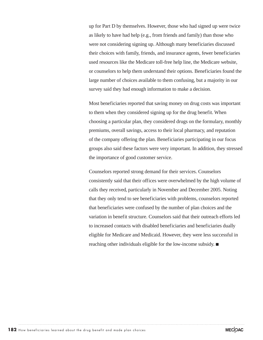up for Part D by themselves. However, those who had signed up were twice as likely to have had help (e.g., from friends and family) than those who were not considering signing up. Although many beneficiaries discussed their choices with family, friends, and insurance agents, fewer beneficiaries used resources like the Medicare toll-free help line, the Medicare website, or counselors to help them understand their options. Beneficiaries found the large number of choices available to them confusing, but a majority in our survey said they had enough information to make a decision.

Most beneficiaries reported that saving money on drug costs was important to them when they considered signing up for the drug benefit. When choosing a particular plan, they considered drugs on the formulary, monthly premiums, overall savings, access to their local pharmacy, and reputation of the company offering the plan. Beneficiaries participating in our focus groups also said these factors were very important. In addition, they stressed the importance of good customer service.

Counselors reported strong demand for their services. Counselors consistently said that their offices were overwhelmed by the high volume of calls they received, particularly in November and December 2005. Noting that they only tend to see beneficiaries with problems, counselors reported that beneficiaries were confused by the number of plan choices and the variation in benefit structure. Counselors said that their outreach efforts led to increased contacts with disabled beneficiaries and beneficiaries dually eligible for Medicare and Medicaid. However, they were less successful in reaching other individuals eligible for the low-income subsidy.  $\blacksquare$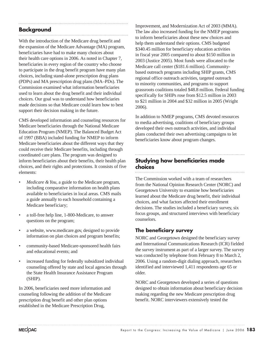#### **Background**

With the introduction of the Medicare drug benefit and the expansion of the Medicare Advantage (MA) program, beneficiaries have had to make many choices about their health care options in 2006. As noted in Chapter 7, beneficiaries in every region of the country who choose to participate in the drug benefit program have many plan choices, including stand-alone prescription drug plans (PDPs) and MA prescription drug plans (MA–PDs). The Commission examined what information beneficiaries used to learn about the drug benefit and their individual choices. Our goal was to understand how beneficiaries made decisions so that Medicare could learn how to best support their decision making in the future.

CMS developed information and counseling resources for Medicare beneficiaries through the National Medicare Education Program (NMEP). The Balanced Budget Act of 1997 (BBA) included funding for NMEP to inform Medicare beneficiaries about the different ways that they could receive their Medicare benefits, including through coordinated care plans. The program was designed to inform beneficiaries about their benefits, their health plan choices, and their rights and protections. It consists of five elements:

- *Medicare & You*, a guide to the Medicare program, including comparative information on health plans available to beneficiaries in local areas. CMS mails a guide annually to each household containing a Medicare beneficiary;
- a toll-free help line, 1-800-Medicare, to answer questions on the program;
- a website, www.medicare.gov, designed to provide information on plan choices and program benefits;
- community-based Medicare-sponsored health fairs and educational events; and
- increased funding for federally subsidized individual counseling offered by state and local agencies through the State Health Insurance Assistance Program (SHIP).

In 2006, beneficiaries need more information and counseling following the addition of the Medicare prescription drug benefit and other plan options established in the Medicare Prescription Drug,

Improvement, and Modernization Act of 2003 (MMA). The law also increased funding for the NMEP programs to inform beneficiaries about these new choices and help them understand their options. CMS budgeted \$340.45 million for beneficiary education activities in fiscal year 2005 compared to about \$150 million in 2003 (Justice 2005). Most funds were allocated to the Medicare call center (\$181.6 million). Communitybased outreach programs including SHIP grants, CMS regional office outreach activities, targeted outreach to minority communities, and programs to support grassroots coalitions totaled \$48.8 million. Federal funding specifically for SHIPs rose from \$12.5 million in 2003 to \$21 million in 2004 and \$32 million in 2005 (Wright 2006).

In addition to NMEP programs, CMS devoted resources to media advertising, coalitions of beneficiary groups developed their own outreach activities, and individual plans conducted their own advertising campaigns to let beneficiaries know about program changes.

#### **Studying how beneficiaries made choices**

The Commission worked with a team of researchers from the National Opinion Research Center (NORC) and Georgetown University to examine how beneficiaries learned about the Medicare drug benefit, their individual choices, and what factors affected their enrollment decisions. The studies included a beneficiary survey, six focus groups, and structured interviews with beneficiary counselors.

#### **The beneficiary survey**

NORC and Georgetown designed the beneficiary survey and International Communications Research (ICR) fielded the survey instrument as part of a larger survey. The survey was conducted by telephone from February 8 to March 2, 2006. Using a random-digit dialing approach, researchers identified and interviewed 1,411 respondents age 65 or older.

NORC and Georgetown developed a series of questions designed to obtain information about beneficiary decision making regarding the new Medicare prescription drug benefit. NORC interviewers extensively tested the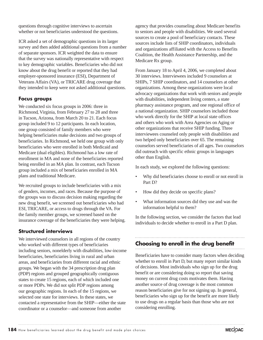questions through cognitive interviews to ascertain whether or not beneficiaries understood the questions.

ICR asked a set of demographic questions in its larger survey and then added additional questions from a number of separate sponsors. ICR weighted the data to ensure that the survey was nationally representative with respect to key demographic variables. Beneficiaries who did not know about the drug benefit or reported that they had employer-sponsored insurance (ESI), Department of Veterans Affairs (VA), or TRICARE drug coverage that they intended to keep were not asked additional questions.

#### **Focus groups**

We conducted six focus groups in 2006: three in Richmond, Virginia, from February 27 to 28 and three in Tucson, Arizona, from March 20 to 21. Each focus group included 9 to 12 participants. In each location, one group consisted of family members who were helping beneficiaries make decisions and two groups of beneficiaries. In Richmond, we held one group with only beneficiaries who were enrolled in both Medicaid and Medicare (dual eligibles). Richmond has a low rate of enrollment in MA and none of the beneficiaries reported being enrolled in an MA plan. In contrast, each Tucson group included a mix of beneficiaries enrolled in MA plans and traditional Medicare.

We recruited groups to include beneficiaries with a mix of genders, incomes, and races. Because the purpose of the groups was to discuss decision making regarding the new drug benefit, we screened out beneficiaries who had ESI, TRICARE, or access to drugs through the VA. For the family member groups, we screened based on the insurance coverage of the beneficiaries they were helping.

#### **Structured interviews**

We interviewed counselors in all regions of the country who worked with different types of beneficiaries including seniors, nonelderly with disabilities, low-income beneficiaries, beneficiaries living in rural and urban areas, and beneficiaries from different racial and ethnic groups. We began with the 34 prescription drug plan (PDP) regions and grouped geographically contiguous states to create 15 regions, each of which included one or more PDPs. We did not split PDP regions among our geographic regions. In each of the 15 regions, we selected one state for interviews. In these states, we contacted a representative from the SHIP—either the state coordinator or a counselor—and someone from another

agency that provides counseling about Medicare benefits to seniors and people with disabilities. We used several sources to create a pool of beneficiary contacts. These sources include lists of SHIP coordinators, individuals and organizations affiliated with the Access to Benefits Coalition, the Health Assistance Partnership, and the Medicare Rx group.

From January 18 to April 4, 2006, we completed about 30 interviews. Interviewees included 9 counselors at SHIPs, 7 SHIP coordinators, and 14 counselors at other organizations. Among these organizations were local advocacy organizations that work with seniors and people with disabilities, independent living centers, a state pharmacy assistance program, and one regional office of a national organization. SHIP counselors included those who work directly for the SHIP at local state offices and others who work with Area Agencies on Aging or other organizations that receive SHIP funding. Three interviewees counseled only people with disabilities and two helped only beneficiaries over 65. The remaining counselors served beneficiaries of all ages. Two counselors did outreach with specific ethnic groups in languages other than English.

In each study, we explored the following questions:

- Why did beneficiaries choose to enroll or not enroll in Part D?
- How did they decide on specific plans?
- What information sources did they use and was the information helpful to them?

In the following section, we consider the factors that lead individuals to decide whether to enroll in a Part D plan.

### **Choosing to enroll in the drug benefit**

Beneficiaries have to consider many factors when deciding whether to enroll in Part D, but many report similar kinds of decisions. Most individuals who sign up for the drug benefit or are considering doing so report that saving money on current drug costs motivates them. Having another source of drug coverage is the most common reason beneficiaries give for not signing up. In general, beneficiaries who sign up for the benefit are more likely to use drugs on a regular basis than those who are not considering enrolling.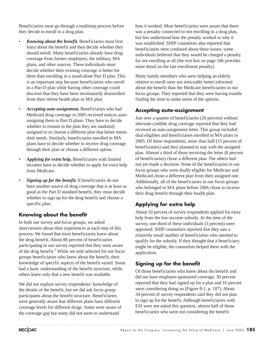Beneficiaries must go through a multistep process before they decide to enroll in a drug plan.

- *Knowing about the benefit.* Beneficiaries must first learn about the benefit and then decide whether they should enroll. Many beneficiaries already have drug coverage from former employers, the military, MA plans, and other sources. These individuals must decide whether their existing coverage is better for them than enrolling in a stand-alone Part D plan. This is an important step because beneficiaries who enroll in a Part D plan while having other coverage could discover that they have been involuntarily disenrolled from their retiree health plan or MA plan.
- *Accepting auto-assignment.* Beneficiaries who had Medicaid drug coverage in 2005 received notices autoassigning them to Part D plans. They have to decide whether to remain in the plan they are randomly assigned to or choose a different plan that better meets their needs. Similarly, beneficiaries enrolled in MA plans have to decide whether to receive drug coverage through their plan or choose a different option.
- *Applying for extra help.* Beneficiaries with limited incomes have to decide whether to apply for extra help from Medicare.
- *Signing up for the benefit.* If beneficiaries do not have another source of drug coverage that is at least as good as the Part D standard benefit, they must decide whether to sign up for the drug benefit and choose a specific plan.

#### **Knowing about the benefit**

In both our survey and focus groups, we asked interviewees about their experiences at each step of this process. We found that most beneficiaries knew about the drug benefit. About 88 percent of beneficiaries participating in our survey reported that they were aware of the drug benefit.<sup>1</sup> While we only selected for our focus groups beneficiaries who knew about the benefit, their knowledge of specific aspects of the benefit varied. Some had a basic understanding of the benefit structure, while others knew only that a new benefit was available.

We did not explore survey respondents' knowledge of the details of the benefit, but we did ask focus group participants about the benefit structure. Beneficiaries were generally aware that different plans have different coverage levels for different drugs. Some were aware of the coverage gap but many did not seem to understand

how it worked. Most beneficiaries were aware that there was a penalty connected to not enrolling in a drug plan, but few understood how the penalty worked or why it was established. SHIP counselors also reported that beneficiaries were confused about these issues; some individuals believed that they would be charged a penalty for not enrolling at all (the text box on page 186 provides more detail on the late enrollment penalty).

Many family members who were helping an elderly relative to enroll were not noticeably better informed about the benefit than the Medicare beneficiaries in our focus groups. They reported that they were having trouble finding the time to make sense of the options.

#### **Accepting auto-assignment**

Just over a quarter of beneficiaries (26 percent) without alternate credible drug coverage reported that they had received an auto-assignment letter. This group included dual eligibles and beneficiaries enrolled in MA plans in 2005. Of these respondents, more than half (15 percent of beneficiaries) said they planned to stay with the assigned plan. Almost a third of those receiving the letter (8 percent of beneficiaries) chose a different plan. The others had not yet made a decision. None of the beneficiaries in our focus groups who were dually eligible for Medicare and Medicaid chose a different plan from their assigned one. Additionally, all of the beneficiaries in our focus groups who belonged to MA plans before 2006 chose to receive their drug benefit through their health plan.

#### **Applying for extra help**

About 10 percent of survey respondents applied for extra help from the low-income subsidy. At the time of the survey, one-third of these individuals (3 percent) were approved. SHIP counselors reported that they saw a relatively small number of beneficiaries who seemed to qualify for the subsidy. If they thought that a beneficiary might be eligible, the counselors helped them with the application.

#### **Signing up for the benefit**

Of those beneficiaries who knew about the benefit and did not have employer-sponsored coverage, 30 percent reported that they had signed up for a plan and 16 percent were considering doing so (Figure 8-1, p. 187). About 34 percent of survey respondents said they did not plan to sign up for the benefit. Although beneficiaries with ESI were not asked this question, almost half of those beneficiaries who were not considering the benefit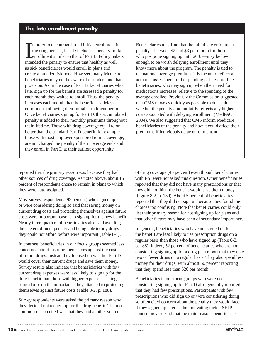In order to encourage broad initial enrollment in<br>the drug benefit, Part D includes a penalty for<br>enrollment similar to that of Part B. Policymak<br>intended the penalty to ensure that healthy as well n order to encourage broad initial enrollment in the drug benefit, Part D includes a penalty for late enrollment similar to that of Part B. Policymakers as sick beneficiaries would enroll in plans and create a broader risk pool. However, many Medicare beneficiaries may not be aware of or understand that provision. As in the case of Part B, beneficiaries who later sign up for the benefit are assessed a penalty for each month they waited to enroll. Thus, the penalty increases each month that the beneficiary delays enrollment following their initial enrollment period. Once beneficiaries sign up for Part D, the accumulated penalty is added to their monthly premiums throughout their lifetime. Those with drug coverage equal to or better than the standard Part D benefit, for example those with most employer-sponsored retiree coverage, are not charged the penalty if their coverage ends and they enroll in Part D at their earliest opportunity.

Beneficiaries may find that the initial late enrollment penalty—between \$2 and \$3 per month for those who postpone signing up until 2007—may be low enough to be worth delaying enrollment until they know more about the program. The penalty is tied to the national average premium. It is meant to reflect an actuarial assessment of the spending of late-enrolling beneficiaries, who may sign up when their need for medications increases, relative to the spending of the average enrollee. Previously the Commission suggested that CMS move as quickly as possible to determine whether the penalty amount fairly reflects any higher costs associated with delaying enrollment (MedPAC 2004). We also suggested that CMS inform Medicare beneficiaries of the penalty and how it could affect their premiums if individuals delay enrollment.  $\blacksquare$ 

reported that the primary reason was because they had other sources of drug coverage. As noted above, about 15 percent of respondents chose to remain in plans to which they were auto-assigned.

Most survey respondents (93 percent) who signed up or were considering doing so said that saving money on current drug costs and protecting themselves against future costs were important reasons to sign up for the new benefit. Nearly three-quarters of beneficiaries also said avoiding the late enrollment penalty and being able to buy drugs they could not afford before were important (Table 8-1).

In contrast, beneficiaries in our focus groups seemed less concerned about insuring themselves against the cost of future drugs. Instead they focused on whether Part D would cover their current drugs and save them money. Survey results also indicate that beneficiaries with few current drug expenses were less likely to sign up for the drug benefit than those with higher expenses, casting some doubt on the importance they attached to protecting themselves against future costs (Table 8-2, p. 188).

Survey respondents were asked the primary reason why they decided not to sign up for the drug benefit. The most common reason cited was that they had another source

of drug coverage (45 percent) even though beneficiaries with ESI were not asked this question. Other beneficiaries reported that they did not have many prescriptions or that they did not think the benefit would save them money (Figure 8-2, p. 189). About 5 percent of beneficiaries reported that they did not sign up because they found the choices too confusing. Note that beneficiaries could only list their primary reason for not signing up for plans and that other factors may have been of secondary importance.

In general, beneficiaries who have not signed up for the benefit are less likely to use prescription drugs on a regular basis than those who have signed up (Table 8-2, p. 188). Indeed, 52 percent of beneficiaries who are not considering signing up for a drug plan report that they take two or fewer drugs on a regular basis. They also spend less money for their drugs, with almost 50 percent reporting that they spend less than \$20 per month.

Beneficiaries in our focus groups who were not considering signing up for Part D also generally reported that they had few prescriptions. Participants with few prescriptions who did sign up or were considering doing so often cited concern about the penalty they would face if they signed up later as the motivating factor. SHIP counselors also said that the main reasons beneficiaries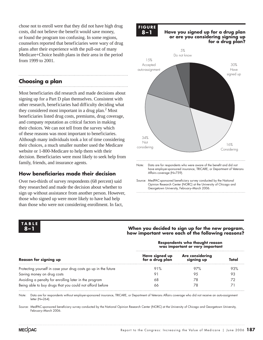chose not to enroll were that they did not have high drug costs, did not believe the benefit would save money, or found the program too confusing. In some regions, counselors reported that beneficiaries were wary of drug plans after their experience with the pull-out of many Medicare+Choice health plans in their area in the period from 1999 to 2001.

#### **Choosing a plan**

Most beneficiaries did research and made decisions about signing up for a Part D plan themselves. Consistent with other research, beneficiaries had difficulty deciding what they considered most important in a drug plan.<sup>2</sup> Most beneficiaries listed drug costs, premiums, drug coverage, and company reputation as critical factors in making their choices. We can not tell from the survey which of these reasons was most important to beneficiaries. Although many individuals took a lot of time considering their choices, a much smaller number used the Medicare website or 1-800-Medicare to help them with their decision. Beneficiaries were most likely to seek help from family, friends, and insurance agents.

#### **How beneficiaries made their decision**

Over two-thirds of survey respondents (68 percent) said they researched and made the decision about whether to sign up without assistance from another person. However, those who signed up were more likely to have had help than those who were not considering enrollment. In fact,

## **FIGURE**

#### **8–1 Have you signed up for a drug plan or are you considering signing up for a drug plan?**



Opinion Research Center (NORC) at the University of Chicago and Georgetown University, February–March 2006.

## **TABLE**

#### **8–1 When you decided to sign up for the new program, how important were each of the following reasons?**

| <b>Reason for signing up</b>                                    | Respondents who thought reason<br>was important or very important |                                      |       |  |
|-----------------------------------------------------------------|-------------------------------------------------------------------|--------------------------------------|-------|--|
|                                                                 | Have signed up<br>for a drug plan                                 | <b>Are considering</b><br>signing up | Total |  |
| Protecting yourself in case your drug costs go up in the future | 91%                                                               | 97%                                  | 93%   |  |
| Saving money on drug costs                                      | 91                                                                | 9.5                                  | 93    |  |
| Avoiding a penalty for enrolling later in the program           | 68                                                                | 78                                   | 72    |  |
| Being able to buy drugs that you could not afford before        | 66                                                                | 78                                   |       |  |

Note: Data are for respondents without employer-sponsored insurance, TRICARE, or Department of Veterans Affairs coverage who did not receive an auto-assignment letter (N=264).

Source: MedPAC-sponsored beneficiary survey conducted by the National Opinion Research Center (NORC) at the University of Chicago and Georgetown University, February–March 2006.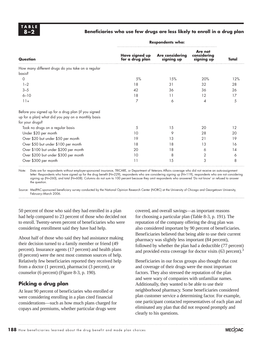#### **8–2 Beneficiaries who use few drugs are less likely to enroll in a drug plan**

|                                                                                                                              | <b>Respondents who:</b>           |                                      |                                      |       |
|------------------------------------------------------------------------------------------------------------------------------|-----------------------------------|--------------------------------------|--------------------------------------|-------|
| <b>Question</b>                                                                                                              | Have signed up<br>for a drug plan | <b>Are considering</b><br>signing up | Are not<br>considering<br>signing up | Total |
| How many different drugs do you take on a regular<br>basis?                                                                  |                                   |                                      |                                      |       |
| $\Omega$                                                                                                                     | 5%                                | 15%                                  | 20%                                  | 12%   |
| $1 - 2$                                                                                                                      | 18                                | 31                                   | 32                                   | 28    |
| $3 - 5$                                                                                                                      | 42                                | 36                                   | 36                                   | 26    |
| $6 - 10$                                                                                                                     | 18                                | 11                                   | 12                                   | 17    |
| $11+$                                                                                                                        | 7                                 | 6                                    | 4                                    | 5     |
| Before you signed up for a drug plan (if you signed<br>up for a plan) what did you pay on a monthly basis<br>for your drugs? |                                   |                                      |                                      |       |
| Took no drugs on a regular basis                                                                                             | 5                                 | 15                                   | 20                                   | 12    |
| Under \$20 per month                                                                                                         | 10                                | 9                                    | 28                                   | 20    |
| Over \$20 but under \$50 per month                                                                                           | 19                                | 13                                   | 21                                   | 19    |
| Over \$50 but under \$100 per month                                                                                          | 18                                | 18                                   | 13                                   | 16    |
| Over \$100 but under \$200 per month                                                                                         | 20                                | 18                                   | 6                                    | 14    |
| Over \$200 but under \$300 per month                                                                                         | 10                                | 8                                    | 2                                    | 6     |
| Over \$300 per month                                                                                                         | 11                                | 15                                   | 3                                    | 8     |

Note: Data are for respondents without employer-sponsored insurance, TRICARE, or Department of Veterans Affairs coverage who did not receive an auto-assignment letter: Respondents who have signed up for the drug benefit (N=229), respondents who are considering signing up  $(N=119)$ , respondents who are not considering signing up (N=260), and total (N=608). Columns do not sum to 100 percent because they omit respondents who answered 'Do not know' or refused to answer the question.

Source: MedPAC-sponsored beneficiary survey conducted by the National Opinion Research Center (NORC) at the University of Chicago and Georgetown University, February–March 2006.

50 percent of those who said they had enrolled in a plan had help compared to 23 percent of those who decided not to enroll. Twenty-seven percent of beneficiaries who were considering enrollment said they have had help.

About half of those who said they had assistance making their decision turned to a family member or friend (49 percent). Insurance agents (17 percent) and health plans (8 percent) were the next most common sources of help. Relatively few beneficiaries reported they received help from a doctor (1 percent), pharmacist (3 percent), or counselor (6 percent) (Figure 8-3, p. 190).

#### **Picking a drug plan**

At least 90 percent of beneficiaries who enrolled or were considering enrolling in a plan cited financial considerations—such as how much plans charged for copays and premiums, whether particular drugs were

covered, and overall savings—as important reasons for choosing a particular plan (Table 8-3, p. 191). The reputation of the company offering the drug plan was also considered important by 90 percent of beneficiaries. Beneficiaries believed that being able to use their current pharmacy was slightly less important (84 percent), followed by whether the plan had a deductible (77 percent) and provided extra coverage for doctor visits (63 percent).<sup>3</sup>

Beneficiaries in our focus groups also thought that cost and coverage of their drugs were the most important factors. They also stressed the reputation of the plan and were wary of companies with unfamiliar names. Additionally, they wanted to be able to use their neighborhood pharmacy. Some beneficiaries considered plan customer service a determining factor. For example, one participant contacted representatives of each plan and eliminated any plan that did not respond promptly and clearly to his questions.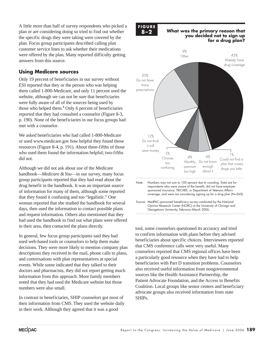A little more than half of survey respondents who picked a plan or are considering doing so tried to find out whether the specific drugs they were taking were covered by the plan. Focus group participants described calling plan customer service lines to ask whether their medications were offered by the plan. Many reported difficulty getting answers from this source.

#### **Using Medicare sources**

Only 19 percent of beneficiaries in our survey without ESI reported that they or the person who was helping them called 1-800-Medicare, and only 11 percent used the website, although we can not be sure that beneficiaries were fully aware of all of the sources being used by those who helped them.<sup>4</sup> Only 6 percent of beneficiaries reported that they had consulted a counselor (Figure 8-3, p. 190). None of the beneficiaries in our focus groups had met with a counselor.

We asked beneficiaries who had called 1-800-Medicare or used www.medicare.gov how helpful they found those resources (Figure 8-4, p. 191). About three-fifths of those who used them found the information helpful; two-fifths did not.

Although we did not ask about use of the Medicare handbook—*Medicare & You*—in our survey, many focus group participants reported that they had read about the drug benefit in the handbook. It was an important source of information for many of them, although some reported that they found it confusing and too "legalistic." One woman reported that she studied the handbook for several days, then used the information to contact possible plans and request information. Others also mentioned that they had used the handbook to find out what plans were offered in their area, then contacted the plans directly.

In general, few focus group participants said they had used web-based tools or counselors to help them make decisions. They were more likely to mention company plan descriptions they received in the mail, phone calls to plans, and conversations with plan representatives at special events. While some indicated that they talked to their doctors and pharmacists, they did not report getting much information from this approach. More family members noted that they had used the Medicare website but those numbers were also small.

In contrast to beneficiaries, SHIP counselors got most of their information from CMS. They used the website daily in their work. Although they agreed that it was a good

**FIGURE**

#### **8–2 What was the primary reason that you decided not to sign up for a drug plan? g p**



tool, some counselors questioned its accuracy and tried to confirm information with plans before they advised beneficiaries about specific choices. Interviewees reported that CMS conference calls were very useful. Many counselors reported that CMS regional offices have been a particularly good resource when they have had to help beneficiaries with Part D transition problems. Counselors also received useful information from nongovernmental sources like the Health Assistance Partnership, the Patient Advocate Foundation, and the Access to Benefits Coalition. Local groups like senior centers and beneficiary advocate groups also received information from state SHIPs.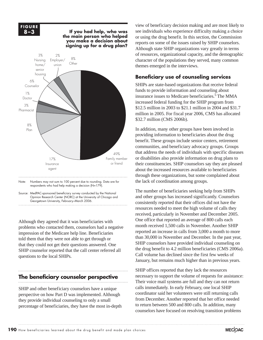

respondents who had help making a decision (N=179).

Source: MedPAC-sponsored beneficiary survey conducted by the National Opinion Research Center (NORC) at the University of Chicago and Georgetown University, February–March 2006.

Although they agreed that it was beneficiaries with problems who contacted them, counselors had a negative impression of the Medicare help line. Beneficiaries told them that they were not able to get through or that they could not get their questions answered. One SHIP counselor reported that the call center referred all questions to the local SHIPs.

#### **The beneficiary counselor perspective**

SHIP and other beneficiary counselors have a unique perspective on how Part D was implemented. Although they provide individual counseling to only a small percentage of beneficiaries, they have the most in-depth

view of beneficiary decision making and are most likely to see individuals who experience difficulty making a choice or using the drug benefit. In this section, the Commission reports on some of the issues raised by SHIP counselors. Although state SHIP organizations vary greatly in terms of resources, organizational capacity, and the demographic character of the populations they served, many common themes emerged in the interviews.

#### **Beneficiary use of counseling services**

SHIPs are state-based organizations that receive federal funds to provide information and counseling about insurance issues to Medicare beneficiaries.<sup>5</sup> The MMA increased federal funding for the SHIP program from \$12.5 million in 2003 to \$21.1 million in 2004 and \$31.7 million in 2005. For fiscal year 2006, CMS has allocated \$32.7 million (CMS 2006b).

In addition, many other groups have been involved in providing information to beneficiaries about the drug benefit. These groups include senior centers, retirement communities, and beneficiary advocacy groups. Groups that address the needs of individuals with specific diseases or disabilities also provide information on drug plans to their constituencies. SHIP counselors say they are pleased about the increased resources available to beneficiaries through these organizations, but some complained about the lack of coordination among groups.

The number of beneficiaries seeking help from SHIPs and other groups has increased significantly. Counselors consistently reported that their offices did not have the resources needed to meet the high volume of calls they received, particularly in November and December 2005. One office that reported an average of 800 calls each month received 1,500 calls in November. Another SHIP reported an increase in calls from 3,000 a month to more than 30,000 in November and December. In the past year, SHIP counselors have provided individual counseling on the drug benefit to 4.2 million beneficiaries (CMS 2006a). Call volume has declined since the first few weeks of January, but remains much higher than in previous years.

SHIP offices reported that they lack the resources necessary to support the volume of requests for assistance: Their voice mail systems are full and they can not return calls immediately. In early February, one local SHIP coordinator said her volunteers were still returning calls from December. Another reported that her office needed to return between 500 and 800 calls. In addition, many counselors have focused on resolving transition problems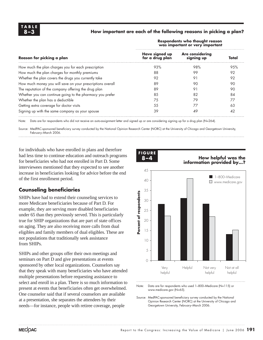#### **8–3 How important are each of the following reasons in picking a plan?**

|                                                            | Respondents who thought reason<br>was important or very important |                                      |       |  |
|------------------------------------------------------------|-------------------------------------------------------------------|--------------------------------------|-------|--|
| Reason for picking a plan                                  | Have signed up<br>for a drug plan                                 | <b>Are considering</b><br>signing up | Total |  |
| How much the plan charges you for each prescription        | 93%                                                               | 98%                                  | 95%   |  |
| How much the plan charges for monthly premiums             | 88                                                                | 99                                   | 92    |  |
| Whether the plan covers the drugs you currently take       | 92                                                                | 91                                   | 92    |  |
| How much money you will save on your prescriptions overall | 89                                                                | 90                                   | 90    |  |
| The reputation of the company offering the drug plan       | 89                                                                | 91                                   | 90    |  |
| Whether you can continue going to the pharmacy you prefer  | 85                                                                | 82                                   | 84    |  |
| Whether the plan has a deductible                          | 75                                                                | 79                                   | 77    |  |
| Getting extra coverage for doctor visits                   | 55                                                                | 77                                   | 63    |  |
| Signing up with the same company as your spouse            | 39                                                                | 49                                   | 42    |  |

Note: Data are for respondents who did not receive an auto-assignment letter and signed up or are considering signing up for a drug plan (N=264).

Source: MedPAC-sponsored beneficiary survey conducted by the National Opinion Research Center (NORC) at the University of Chicago and Georgetown University, February–March 2006.

**FIGURE**

for individuals who have enrolled in plans and therefore had less time to continue education and outreach programs for beneficiaries who had not enrolled in Part D. Some interviewees mentioned that they expected to see another increase in beneficiaries looking for advice before the end of the first enrollment period.

#### **Counseling beneficiaries**

SHIPs have had to extend their counseling services to more Medicare beneficiaries because of Part D. For example, they are serving more disabled beneficiaries under 65 than they previously served. This is particularly true for SHIP organizations that are part of state offices on aging. They are also receiving more calls from dual eligibles and family members of dual eligibles. These are not populations that traditionally seek assistance from SHIPs.

SHIPs and other groups offer their own meetings and seminars on Part D and give presentations at events sponsored by other local organizations. Counselors say that they speak with many beneficiaries who have attended multiple presentations before requesting assistance to select and enroll in a plan. There is so much information to present at events that beneficiaries often get overwhelmed. One counselor said that if several counselors are available at a presentation, she separates the attendees by their needs—for instance, people with retiree coverage, people



Note: Data are for respondents who used 1–800–Medicare (N=115) or www.medicare.gov (N=65).

Source: MedPAC-sponsored beneficiary survey conducted by the National Opinion Research Center (NORC) at the University of Chicago and Georgetown University, February–March 2006.

## **8–4 How helpful was the**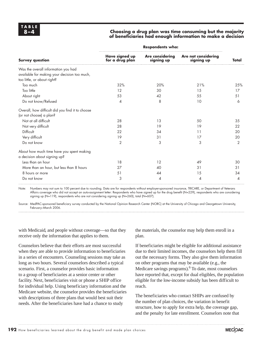#### **8–4 Choosing a drug plan was time consuming but the majority of beneficiaries had enough information to make a decision**

| <b>Survey question</b>                                                                                             | <b>Respondents who:</b>           |                                      |                                   |                |
|--------------------------------------------------------------------------------------------------------------------|-----------------------------------|--------------------------------------|-----------------------------------|----------------|
|                                                                                                                    | Have signed up<br>for a drug plan | <b>Are considering</b><br>signing up | Are not considering<br>signing up | Total          |
| Was the overall information you had<br>available for making your decision too much,<br>too little, or about right? |                                   |                                      |                                   |                |
| Too much                                                                                                           | 32%                               | 20%                                  | 21%                               | 25%            |
| Too little                                                                                                         | 12                                | 30                                   | 15                                | 17             |
| About right                                                                                                        | 53                                | 42                                   | 55                                | 51             |
| Do not know/Refused                                                                                                | $\overline{4}$                    | 8                                    | 10                                | 6              |
| Overall, how difficult did you find it to choose<br>(or not choose) a plan?                                        |                                   |                                      |                                   |                |
| Not at all difficult                                                                                               | 28                                | 13                                   | 50                                | 35             |
| Not very difficult                                                                                                 | 28                                | 19                                   | 19                                | 22             |
| Difficult                                                                                                          | 22                                | 34                                   | 11                                | 20             |
| Very difficult                                                                                                     | 19                                | 31                                   | 17                                | 20             |
| Do not know                                                                                                        | $\overline{2}$                    | 3                                    | 3                                 | $\overline{2}$ |
| About how much time have you spent making<br>a decision about signing up?                                          |                                   |                                      |                                   |                |
| Less than an hour                                                                                                  | 18                                | 12                                   | 49                                | 30             |
| More than an hour, but less than 8 hours                                                                           | 27                                | 40                                   | 31                                | 31             |
| 8 hours or more                                                                                                    | 51                                | 44                                   | 15                                | 34             |
| Do not know                                                                                                        | 3                                 | 4                                    | 4                                 | 4              |

Note: Numbers may not sum to 100 percent due to rounding. Data are for respondents without employer-sponsored insurance, TRICARE, or Department of Veterans Affairs coverage who did not accept an auto-assignment letter: Respondents who have signed up for the drug benefit (N=229), respondents who are considering signing up (N=119), respondents who are not considering signing up (N=260), total (N=607).

Source: MedPAC-sponsored beneficiary survey conducted by the National Opinion Research Center (NORC) at the University of Chicago and Georgetown University, February–March 2006.

with Medicaid, and people without coverage—so that they receive only the information that applies to them.

Counselors believe that their efforts are most successful when they are able to provide information to beneficiaries in a series of encounters. Counseling sessions may take as long as two hours. Several counselors described a typical scenario. First, a counselor provides basic information to a group of beneficiaries at a senior center or other facility. Next, beneficiaries visit or phone a SHIP office for individual help. Using beneficiary information and the Medicare website, the counselor provides the beneficiaries with descriptions of three plans that would best suit their needs. After the beneficiaries have had a chance to study

the materials, the counselor may help them enroll in a plan.

If beneficiaries might be eligible for additional assistance due to their limited incomes, the counselors help them fill out the necessary forms. They also give them information on other programs that may be available (e.g., the Medicare savings programs). <sup>6</sup> To date, most counselors have reported that, except for dual eligibles, the population eligible for the low-income subsidy has been difficult to reach.

The beneficiaries who contact SHIPs are confused by the number of plan choices, the variation in benefit structure, how to apply for extra help, the coverage gap, and the penalty for late enrollment. Counselors note that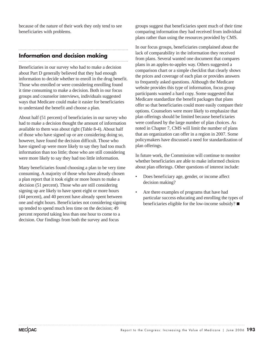because of the nature of their work they only tend to see beneficiaries with problems.

## **Information and decision making**

Beneficiaries in our survey who had to make a decision about Part D generally believed that they had enough information to decide whether to enroll in the drug benefit. Those who enrolled or were considering enrolling found it time consuming to make a decision. Both in our focus groups and counselor interviews, individuals suggested ways that Medicare could make it easier for beneficiaries to understand the benefit and choose a plan.

About half (51 percent) of beneficiaries in our survey who had to make a decision thought the amount of information available to them was about right (Table 8-4). About half of those who have signed up or are considering doing so, however, have found the decision difficult. Those who have signed up were more likely to say they had too much information than too little; those who are still considering were more likely to say they had too little information.

Many beneficiaries found choosing a plan to be very time consuming. A majority of those who have already chosen a plan report that it took eight or more hours to make a decision (51 percent). Those who are still considering signing up are likely to have spent eight or more hours (44 percent), and 40 percent have already spent between one and eight hours. Beneficiaries not considering signing up tended to spend much less time on the decision; 49 percent reported taking less than one hour to come to a decision. Our findings from both the survey and focus

groups suggest that beneficiaries spent much of their time comparing information they had received from individual plans rather than using the resources provided by CMS.

In our focus groups, beneficiaries complained about the lack of comparability in the information they received from plans. Several wanted one document that compares plans in an apples-to-apples way. Others suggested a comparison chart or a simple checklist that clearly shows the prices and coverage of each plan or provides answers to frequently asked questions. Although the Medicare website provides this type of information, focus group participants wanted a hard copy. Some suggested that Medicare standardize the benefit packages that plans offer so that beneficiaries could more easily compare their options. Counselors were more likely to emphasize that plan offerings should be limited because beneficiaries were confused by the large number of plan choices. As noted in Chapter 7, CMS will limit the number of plans that an organization can offer in a region in 2007. Some policymakers have discussed a need for standardization of plan offerings.

In future work, the Commission will continue to monitor whether beneficiaries are able to make informed choices about plan offerings. Other questions of interest include:

- Does beneficiary age, gender, or income affect decision making?
- Are there examples of programs that have had particular success educating and enrolling the types of beneficiaries eligible for the low-income subsidy?  $\blacksquare$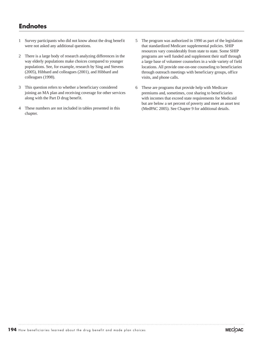#### **Endnotes**

- 1 Survey participants who did not know about the drug benefit were not asked any additional questions.
- 2 There is a large body of research analyzing differences in the way elderly populations make choices compared to younger populations. See, for example, research by Sing and Stevens (2005), Hibbard and colleagues (2001), and Hibbard and colleagues (1998).
- 3 This question refers to whether a beneficiary considered joining an MA plan and receiving coverage for other services along with the Part D drug benefit.
- 4 These numbers are not included in tables presented in this chapter.
- 5 The program was authorized in 1990 as part of the legislation that standardized Medicare supplemental policies. SHIP resources vary considerably from state to state. Some SHIP programs are well funded and supplement their staff through a large base of volunteer counselors in a wide variety of field locations. All provide one-on-one counseling to beneficiaries through outreach meetings with beneficiary groups, office visits, and phone calls.
- 6 These are programs that provide help with Medicare premiums and, sometimes, cost sharing to beneficiaries with incomes that exceed state requirements for Medicaid but are below a set percent of poverty and meet an asset test (MedPAC 2005). See Chapter 9 for additional details.